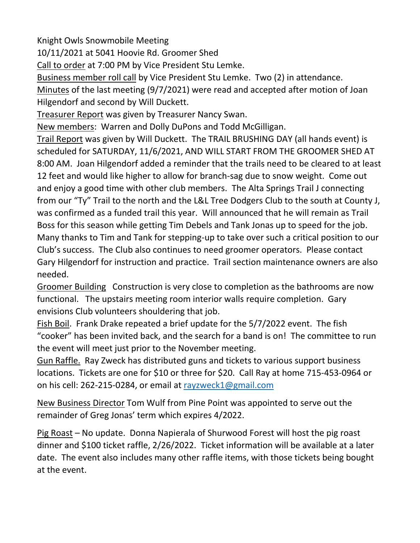Knight Owls Snowmobile Meeting

10/11/2021 at 5041 Hoovie Rd. Groomer Shed

Call to order at 7:00 PM by Vice President Stu Lemke.

Business member roll call by Vice President Stu Lemke. Two (2) in attendance. Minutes of the last meeting (9/7/2021) were read and accepted after motion of Joan Hilgendorf and second by Will Duckett.

Treasurer Report was given by Treasurer Nancy Swan.

New members: Warren and Dolly DuPons and Todd McGilligan.

Trail Report was given by Will Duckett. The TRAIL BRUSHING DAY (all hands event) is scheduled for SATURDAY, 11/6/2021, AND WILL START FROM THE GROOMER SHED AT 8:00 AM. Joan Hilgendorf added a reminder that the trails need to be cleared to at least 12 feet and would like higher to allow for branch-sag due to snow weight. Come out and enjoy a good time with other club members. The Alta Springs Trail J connecting from our "Ty" Trail to the north and the L&L Tree Dodgers Club to the south at County J, was confirmed as a funded trail this year. Will announced that he will remain as Trail Boss for this season while getting Tim Debels and Tank Jonas up to speed for the job. Many thanks to Tim and Tank for stepping-up to take over such a critical position to our Club's success. The Club also continues to need groomer operators. Please contact Gary Hilgendorf for instruction and practice. Trail section maintenance owners are also needed.

Groomer Building Construction is very close to completion as the bathrooms are now functional. The upstairs meeting room interior walls require completion. Gary envisions Club volunteers shouldering that job.

Fish Boil. Frank Drake repeated a brief update for the 5/7/2022 event. The fish "cooker" has been invited back, and the search for a band is on! The committee to run the event will meet just prior to the November meeting.

Gun Raffle. Ray Zweck has distributed guns and tickets to various support business locations. Tickets are one for \$10 or three for \$20. Call Ray at home 715-453-0964 or on his cell: 262-215-0284, or email at [rayzweck1@gmail.com](mailto:rayzweck1@gmail.com)

New Business Director Tom Wulf from Pine Point was appointed to serve out the remainder of Greg Jonas' term which expires 4/2022.

Pig Roast – No update. Donna Napierala of Shurwood Forest will host the pig roast dinner and \$100 ticket raffle, 2/26/2022. Ticket information will be available at a later date. The event also includes many other raffle items, with those tickets being bought at the event.